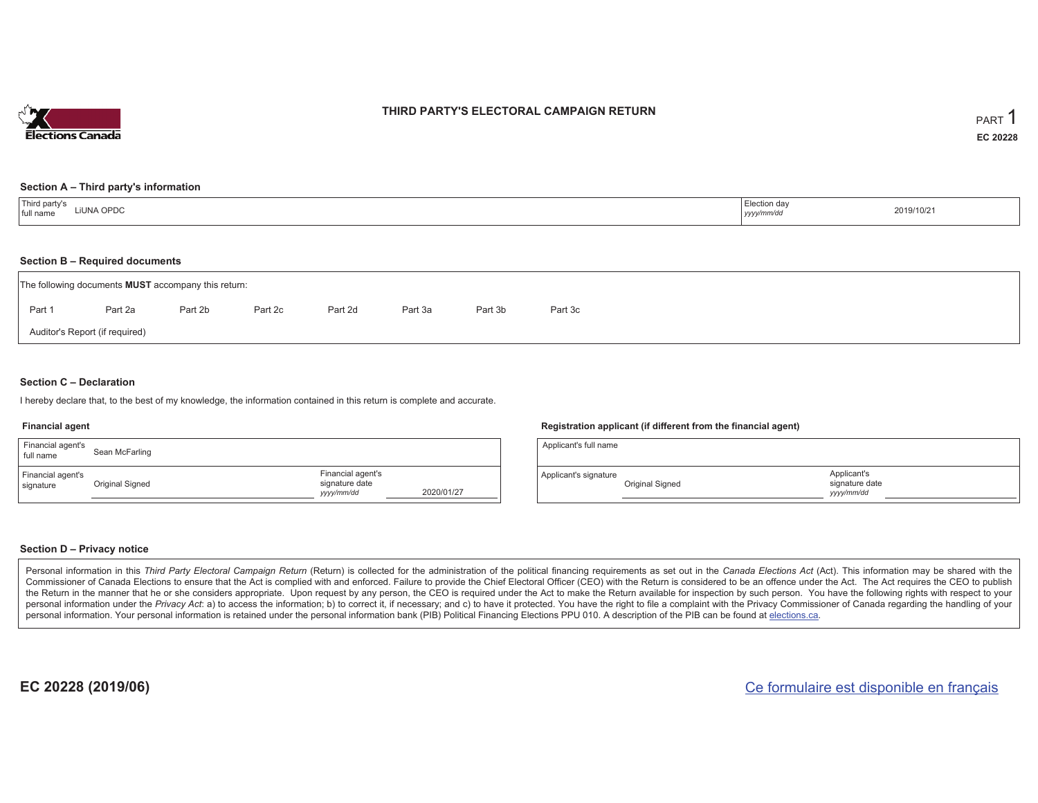

## **THIRD PARTY'S ELECTORAL CAMPAIGN RETURN**

#### **Section A – Third party's information**

### **Section B – Required documents**

|                                | The following documents <b>MUST</b> accompany this return: |         |         |         |         |         |         |  |  |  |  |  |  |
|--------------------------------|------------------------------------------------------------|---------|---------|---------|---------|---------|---------|--|--|--|--|--|--|
| Part 1                         | Part 2a                                                    | Part 2b | Part 2c | Part 2d | Part 3a | Part 3b | Part 3c |  |  |  |  |  |  |
| Auditor's Report (if required) |                                                            |         |         |         |         |         |         |  |  |  |  |  |  |

### **Section C – Declaration**

I hereby declare that, to the best of my knowledge, the information contained in this return is complete and accurate.

#### **Financial agent**

| Financial agent's<br>full name | Sean McFarling  |                                                   |            |
|--------------------------------|-----------------|---------------------------------------------------|------------|
| Financial agent's<br>signature | Original Signed | Financial agent's<br>signature date<br>yyyy/mm/dd | 2020/01/27 |

### **Registration applicant (if different from the financial agent)**

| Applicant's full name |                 |                                             |  |
|-----------------------|-----------------|---------------------------------------------|--|
| Applicant's signature | Original Signed | Applicant's<br>signature date<br>vyyy/mm/dd |  |

### **Section D – Privacy notice**

Personal information in this Third Party Electoral Campaign Return (Return) is collected for the administration of the political financing requirements as set out in the Canada Elections Act (Act). This information may be Commissioner of Canada Elections to ensure that the Act is complied with and enforced. Failure to provide the Chief Electoral Officer (CEO) with the Return is considered to be an offence under the Act. The Act requires the the Return in the manner that he or she considers appropriate. Upon request by any person, the CEO is required under the Act to make the Return available for inspection by such person. You have the following rights with re personal information under the Privacy Act: a) to access the information; b) to correct it, if necessary; and c) to have it protected. You have the right to file a complaint with the Privacy Commissioner of Canada regardin personal information. Your personal information is retained under the personal information bank (PIB) Political Financing Elections PPU 010. A description of the PIB can be found at elections.ca.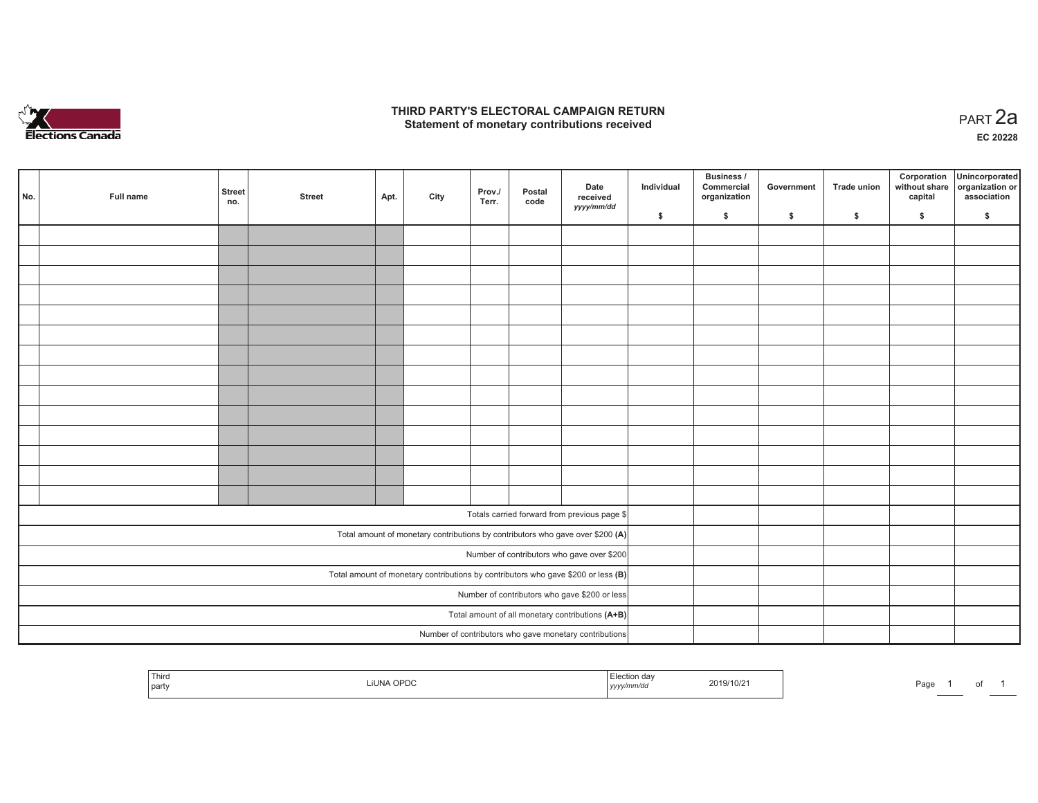

### **THIRD PARTY'S ELECTORAL CAMPAIGN RETURN HIRD PARTY'S ELECTORAL CAMPAIGN RETURN<br>Statement of monetary contributions received PART 2a**

**EC 20228**

| No.                                                                                 | Full name | <b>Street</b><br>no.                             | <b>Street</b> | Apt. | City | Prov./<br>Terr. | Postal<br>code | Date<br>received<br>yyyy/mm/dd                                                 | Individual | Business /<br>Commercial<br>organization | Government | Trade union | Corporation<br>without share<br>capital | Unincorporated<br>organization or<br>association |
|-------------------------------------------------------------------------------------|-----------|--------------------------------------------------|---------------|------|------|-----------------|----------------|--------------------------------------------------------------------------------|------------|------------------------------------------|------------|-------------|-----------------------------------------|--------------------------------------------------|
|                                                                                     |           |                                                  |               |      |      |                 |                |                                                                                | \$         | $\mathsf{s}$                             | \$         | \$          | \$                                      | \$                                               |
|                                                                                     |           |                                                  |               |      |      |                 |                |                                                                                |            |                                          |            |             |                                         |                                                  |
|                                                                                     |           |                                                  |               |      |      |                 |                |                                                                                |            |                                          |            |             |                                         |                                                  |
|                                                                                     |           |                                                  |               |      |      |                 |                |                                                                                |            |                                          |            |             |                                         |                                                  |
|                                                                                     |           |                                                  |               |      |      |                 |                |                                                                                |            |                                          |            |             |                                         |                                                  |
|                                                                                     |           |                                                  |               |      |      |                 |                |                                                                                |            |                                          |            |             |                                         |                                                  |
|                                                                                     |           |                                                  |               |      |      |                 |                |                                                                                |            |                                          |            |             |                                         |                                                  |
|                                                                                     |           |                                                  |               |      |      |                 |                |                                                                                |            |                                          |            |             |                                         |                                                  |
|                                                                                     |           |                                                  |               |      |      |                 |                |                                                                                |            |                                          |            |             |                                         |                                                  |
|                                                                                     |           |                                                  |               |      |      |                 |                |                                                                                |            |                                          |            |             |                                         |                                                  |
|                                                                                     |           |                                                  |               |      |      |                 |                |                                                                                |            |                                          |            |             |                                         |                                                  |
|                                                                                     |           |                                                  |               |      |      |                 |                |                                                                                |            |                                          |            |             |                                         |                                                  |
|                                                                                     |           |                                                  |               |      |      |                 |                |                                                                                |            |                                          |            |             |                                         |                                                  |
|                                                                                     |           |                                                  |               |      |      |                 |                |                                                                                |            |                                          |            |             |                                         |                                                  |
|                                                                                     |           |                                                  |               |      |      |                 |                |                                                                                |            |                                          |            |             |                                         |                                                  |
|                                                                                     |           |                                                  |               |      |      |                 |                | Totals carried forward from previous page \$                                   |            |                                          |            |             |                                         |                                                  |
|                                                                                     |           |                                                  |               |      |      |                 |                | Total amount of monetary contributions by contributors who gave over \$200 (A) |            |                                          |            |             |                                         |                                                  |
|                                                                                     |           | Number of contributors who gave over \$200       |               |      |      |                 |                |                                                                                |            |                                          |            |             |                                         |                                                  |
| Total amount of monetary contributions by contributors who gave \$200 or less $(B)$ |           |                                                  |               |      |      |                 |                |                                                                                |            |                                          |            |             |                                         |                                                  |
| Number of contributors who gave \$200 or less                                       |           |                                                  |               |      |      |                 |                |                                                                                |            |                                          |            |             |                                         |                                                  |
|                                                                                     |           | Total amount of all monetary contributions (A+B) |               |      |      |                 |                |                                                                                |            |                                          |            |             |                                         |                                                  |
|                                                                                     |           |                                                  |               |      |      |                 |                | Number of contributors who gave monetary contributions                         |            |                                          |            |             |                                         |                                                  |

| Third<br>l party | <b>IUNA OPDC</b> | ∃lection dav<br>yyyy/mm/dd | 2019/10/21 | Page |
|------------------|------------------|----------------------------|------------|------|
|                  |                  |                            |            |      |

*yy d* 2019/10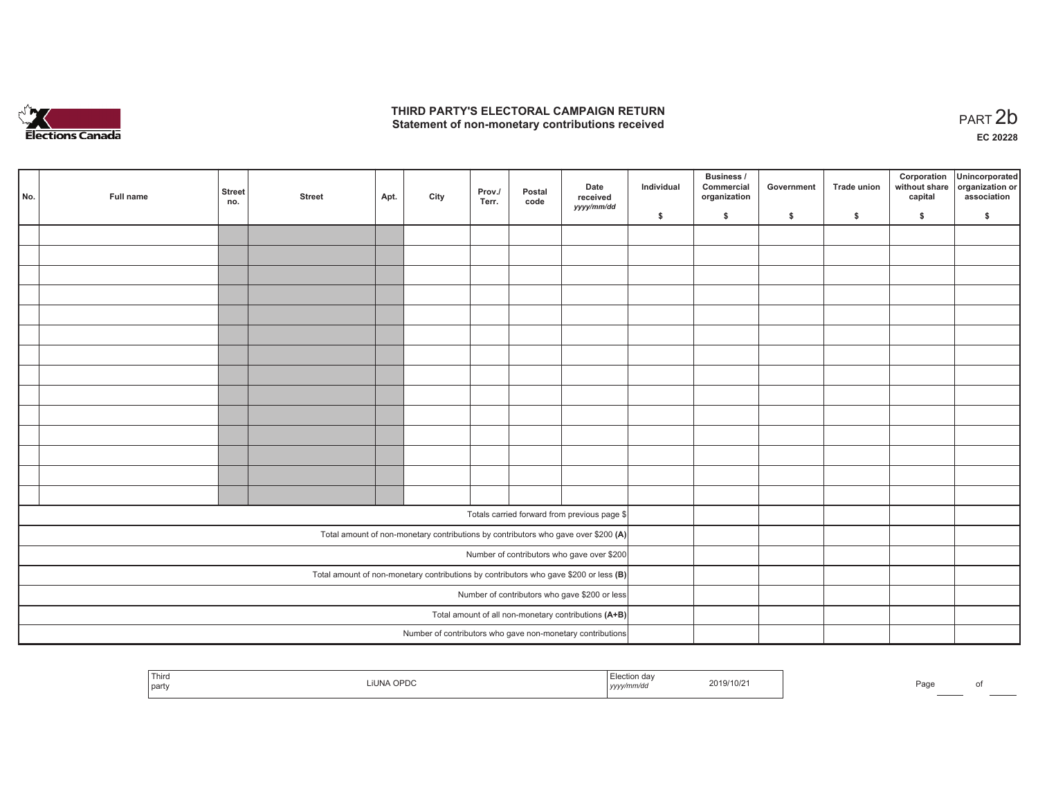

## **THIRD PARTY'S ELECTORAL CAMPAIGN RETURN**  THIRD PARTY'S ELECTORAL CAMPAIGN RETURN<br>Statement of non-monetary contributions received<br> **PART 2b**

|                                                                                         | No.                                        | Full name | <b>Street</b><br>no. | <b>Street</b> | Apt. | City | Prov./<br>Terr. | Postal<br>code | Date<br>received<br>yyyy/mm/dd                                                     | Individual | <b>Business /</b><br>Commercial<br>organization | Government   | Trade union  | Corporation<br>capital | Unincorporated<br>without share organization or<br>association |
|-----------------------------------------------------------------------------------------|--------------------------------------------|-----------|----------------------|---------------|------|------|-----------------|----------------|------------------------------------------------------------------------------------|------------|-------------------------------------------------|--------------|--------------|------------------------|----------------------------------------------------------------|
|                                                                                         |                                            |           |                      |               |      |      |                 |                |                                                                                    | \$         | \$                                              | $\mathsf{s}$ | $\mathbf{s}$ | \$                     | \$                                                             |
|                                                                                         |                                            |           |                      |               |      |      |                 |                |                                                                                    |            |                                                 |              |              |                        |                                                                |
|                                                                                         |                                            |           |                      |               |      |      |                 |                |                                                                                    |            |                                                 |              |              |                        |                                                                |
|                                                                                         |                                            |           |                      |               |      |      |                 |                |                                                                                    |            |                                                 |              |              |                        |                                                                |
|                                                                                         |                                            |           |                      |               |      |      |                 |                |                                                                                    |            |                                                 |              |              |                        |                                                                |
|                                                                                         |                                            |           |                      |               |      |      |                 |                |                                                                                    |            |                                                 |              |              |                        |                                                                |
|                                                                                         |                                            |           |                      |               |      |      |                 |                |                                                                                    |            |                                                 |              |              |                        |                                                                |
|                                                                                         |                                            |           |                      |               |      |      |                 |                |                                                                                    |            |                                                 |              |              |                        |                                                                |
|                                                                                         |                                            |           |                      |               |      |      |                 |                |                                                                                    |            |                                                 |              |              |                        |                                                                |
|                                                                                         |                                            |           |                      |               |      |      |                 |                |                                                                                    |            |                                                 |              |              |                        |                                                                |
|                                                                                         |                                            |           |                      |               |      |      |                 |                |                                                                                    |            |                                                 |              |              |                        |                                                                |
|                                                                                         |                                            |           |                      |               |      |      |                 |                |                                                                                    |            |                                                 |              |              |                        |                                                                |
|                                                                                         |                                            |           |                      |               |      |      |                 |                |                                                                                    |            |                                                 |              |              |                        |                                                                |
|                                                                                         |                                            |           |                      |               |      |      |                 |                |                                                                                    |            |                                                 |              |              |                        |                                                                |
|                                                                                         |                                            |           |                      |               |      |      |                 |                |                                                                                    |            |                                                 |              |              |                        |                                                                |
|                                                                                         |                                            |           |                      |               |      |      |                 |                | Totals carried forward from previous page \$                                       |            |                                                 |              |              |                        |                                                                |
|                                                                                         |                                            |           |                      |               |      |      |                 |                |                                                                                    |            |                                                 |              |              |                        |                                                                |
|                                                                                         |                                            |           |                      |               |      |      |                 |                | Total amount of non-monetary contributions by contributors who gave over \$200 (A) |            |                                                 |              |              |                        |                                                                |
|                                                                                         | Number of contributors who gave over \$200 |           |                      |               |      |      |                 |                |                                                                                    |            |                                                 |              |              |                        |                                                                |
| Total amount of non-monetary contributions by contributors who gave \$200 or less $(B)$ |                                            |           |                      |               |      |      |                 |                |                                                                                    |            |                                                 |              |              |                        |                                                                |
| Number of contributors who gave \$200 or less                                           |                                            |           |                      |               |      |      |                 |                |                                                                                    |            |                                                 |              |              |                        |                                                                |
| Total amount of all non-monetary contributions (A+B)                                    |                                            |           |                      |               |      |      |                 |                |                                                                                    |            |                                                 |              |              |                        |                                                                |
|                                                                                         |                                            |           |                      |               |      |      |                 |                | Number of contributors who gave non-monetary contributions                         |            |                                                 |              |              |                        |                                                                |

|  | Third<br>party | .<br>חסר | ソソソソ | 019/10/2 |  | محات<br>-aut |  |
|--|----------------|----------|------|----------|--|--------------|--|
|--|----------------|----------|------|----------|--|--------------|--|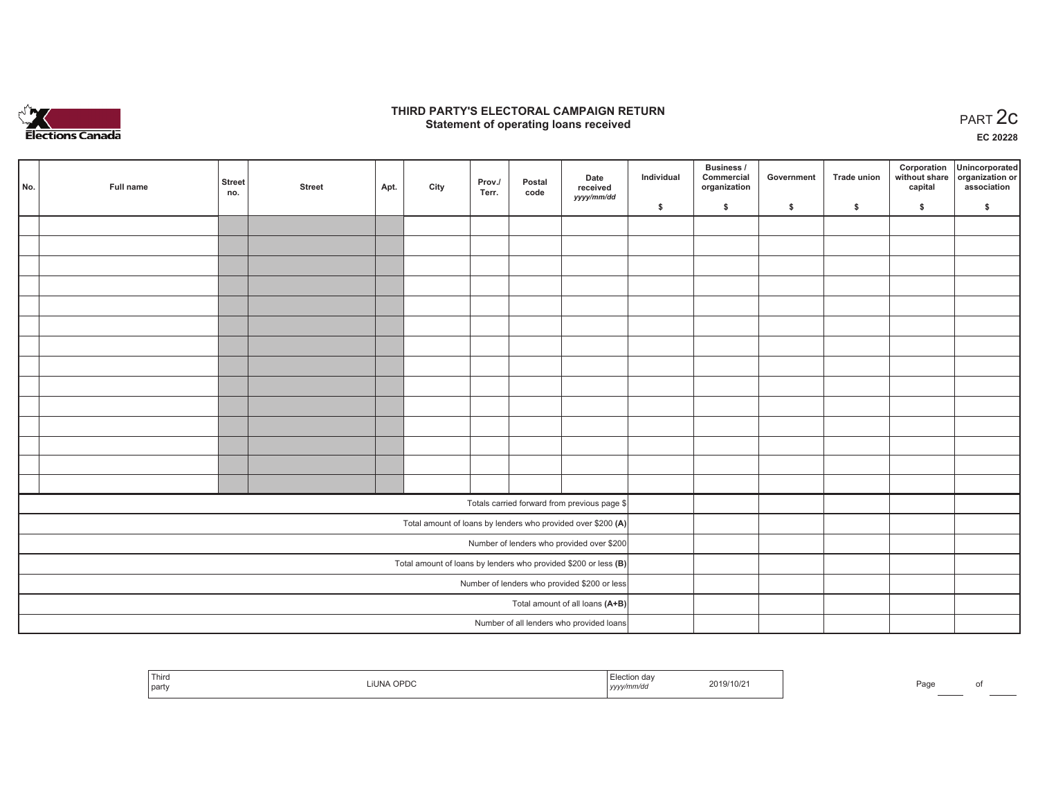

## **THIRD PARTY'S ELECTORAL CAMPAIGN RETURN STATE:** PERSON SELECTORAL CAMPAIGN RETURN<br>
Statement of operating loans received

**EC 20228**

|                                                                 | No. | Full name | <b>Street</b><br>no. | <b>Street</b> | Apt. | City | Prov./<br>Terr. | Postal<br>code | Date<br>received                                             | Individual | Business /<br>Commercial<br>organization | Government | Trade union | Corporation<br>capital | Unincorporated<br>without share organization or<br>association |
|-----------------------------------------------------------------|-----|-----------|----------------------|---------------|------|------|-----------------|----------------|--------------------------------------------------------------|------------|------------------------------------------|------------|-------------|------------------------|----------------------------------------------------------------|
|                                                                 |     |           |                      |               |      |      |                 |                | yyyy/mm/dd                                                   | \$         | \$                                       | \$         | \$          | \$                     | \$                                                             |
|                                                                 |     |           |                      |               |      |      |                 |                |                                                              |            |                                          |            |             |                        |                                                                |
|                                                                 |     |           |                      |               |      |      |                 |                |                                                              |            |                                          |            |             |                        |                                                                |
|                                                                 |     |           |                      |               |      |      |                 |                |                                                              |            |                                          |            |             |                        |                                                                |
|                                                                 |     |           |                      |               |      |      |                 |                |                                                              |            |                                          |            |             |                        |                                                                |
|                                                                 |     |           |                      |               |      |      |                 |                |                                                              |            |                                          |            |             |                        |                                                                |
|                                                                 |     |           |                      |               |      |      |                 |                |                                                              |            |                                          |            |             |                        |                                                                |
|                                                                 |     |           |                      |               |      |      |                 |                |                                                              |            |                                          |            |             |                        |                                                                |
|                                                                 |     |           |                      |               |      |      |                 |                |                                                              |            |                                          |            |             |                        |                                                                |
|                                                                 |     |           |                      |               |      |      |                 |                |                                                              |            |                                          |            |             |                        |                                                                |
|                                                                 |     |           |                      |               |      |      |                 |                |                                                              |            |                                          |            |             |                        |                                                                |
|                                                                 |     |           |                      |               |      |      |                 |                |                                                              |            |                                          |            |             |                        |                                                                |
|                                                                 |     |           |                      |               |      |      |                 |                |                                                              |            |                                          |            |             |                        |                                                                |
|                                                                 |     |           |                      |               |      |      |                 |                |                                                              |            |                                          |            |             |                        |                                                                |
|                                                                 |     |           |                      |               |      |      |                 |                |                                                              |            |                                          |            |             |                        |                                                                |
|                                                                 |     |           |                      |               |      |      |                 |                | Totals carried forward from previous page \$                 |            |                                          |            |             |                        |                                                                |
|                                                                 |     |           |                      |               |      |      |                 |                | Total amount of loans by lenders who provided over \$200 (A) |            |                                          |            |             |                        |                                                                |
| Number of lenders who provided over \$200                       |     |           |                      |               |      |      |                 |                |                                                              |            |                                          |            |             |                        |                                                                |
| Total amount of loans by lenders who provided \$200 or less (B) |     |           |                      |               |      |      |                 |                |                                                              |            |                                          |            |             |                        |                                                                |
| Number of lenders who provided \$200 or less                    |     |           |                      |               |      |      |                 |                |                                                              |            |                                          |            |             |                        |                                                                |
|                                                                 |     |           |                      |               |      |      |                 |                | Total amount of all loans (A+B)                              |            |                                          |            |             |                        |                                                                |
|                                                                 |     |           |                      |               |      |      |                 |                | Number of all lenders who provided loans                     |            |                                          |            |             |                        |                                                                |

| $ -$<br>' Third<br>party | OPDC | Election daγ<br>2019/10/21<br>yyyy/mm/aa | Page |  |
|--------------------------|------|------------------------------------------|------|--|
|--------------------------|------|------------------------------------------|------|--|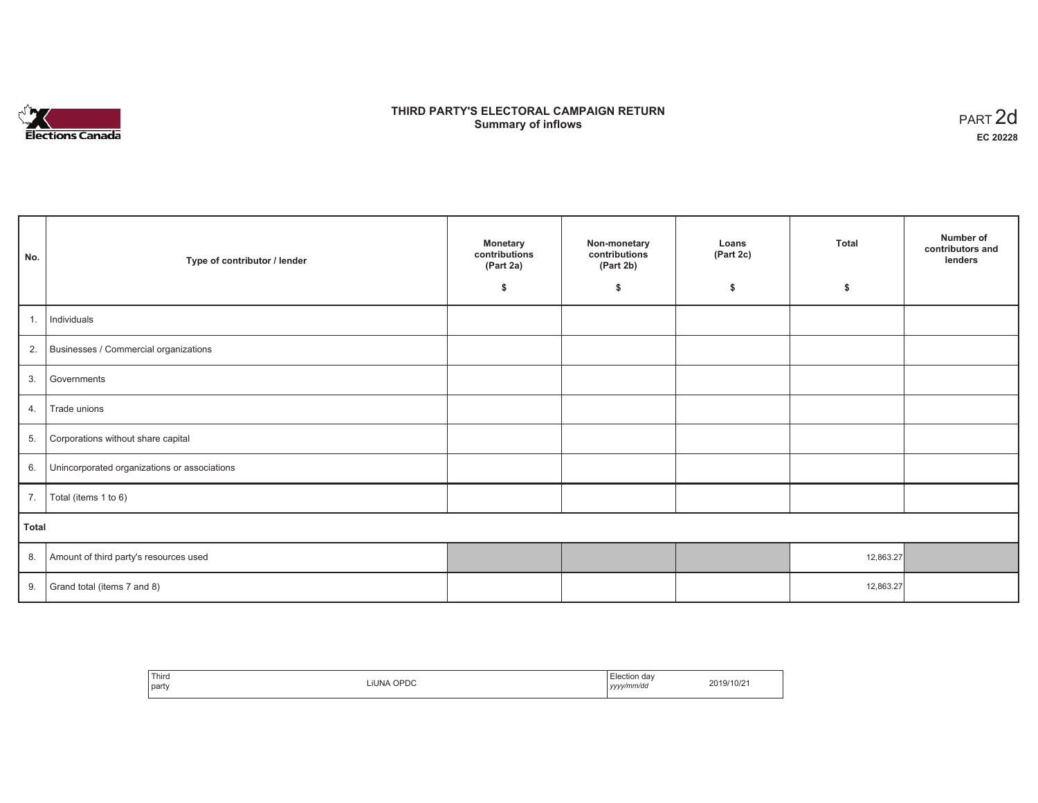

# **THIRD PARTY'S ELECTORAL CAMPAIGN RETURN Summary of inflows** PART 2d

| No.   | Type of contributor / lender                 | <b>Monetary</b><br>contributions<br>(Part 2a) | Non-monetary<br>contributions<br>(Part 2b) | Loans<br>(Part 2c) | <b>Total</b> | Number of<br>contributors and<br>lenders |  |  |  |
|-------|----------------------------------------------|-----------------------------------------------|--------------------------------------------|--------------------|--------------|------------------------------------------|--|--|--|
|       |                                              | \$                                            | \$                                         | \$                 | \$           |                                          |  |  |  |
| 1.    | Individuals                                  |                                               |                                            |                    |              |                                          |  |  |  |
| 2.    | Businesses / Commercial organizations        |                                               |                                            |                    |              |                                          |  |  |  |
| 3.    | Governments                                  |                                               |                                            |                    |              |                                          |  |  |  |
| 4.    | Trade unions                                 |                                               |                                            |                    |              |                                          |  |  |  |
| 5.    | Corporations without share capital           |                                               |                                            |                    |              |                                          |  |  |  |
| 6.    | Unincorporated organizations or associations |                                               |                                            |                    |              |                                          |  |  |  |
| 7.    | Total (items 1 to 6)                         |                                               |                                            |                    |              |                                          |  |  |  |
| Total |                                              |                                               |                                            |                    |              |                                          |  |  |  |
| 8.    | Amount of third party's resources used       |                                               |                                            |                    | 12,863.27    |                                          |  |  |  |
| 9.    | Grand total (items 7 and 8)                  |                                               |                                            |                    | 12,863.27    |                                          |  |  |  |

| `Third<br>part | LIUNA OPDC | Election day<br>yyyy/mm/dd | 2019/10/21 |
|----------------|------------|----------------------------|------------|
|----------------|------------|----------------------------|------------|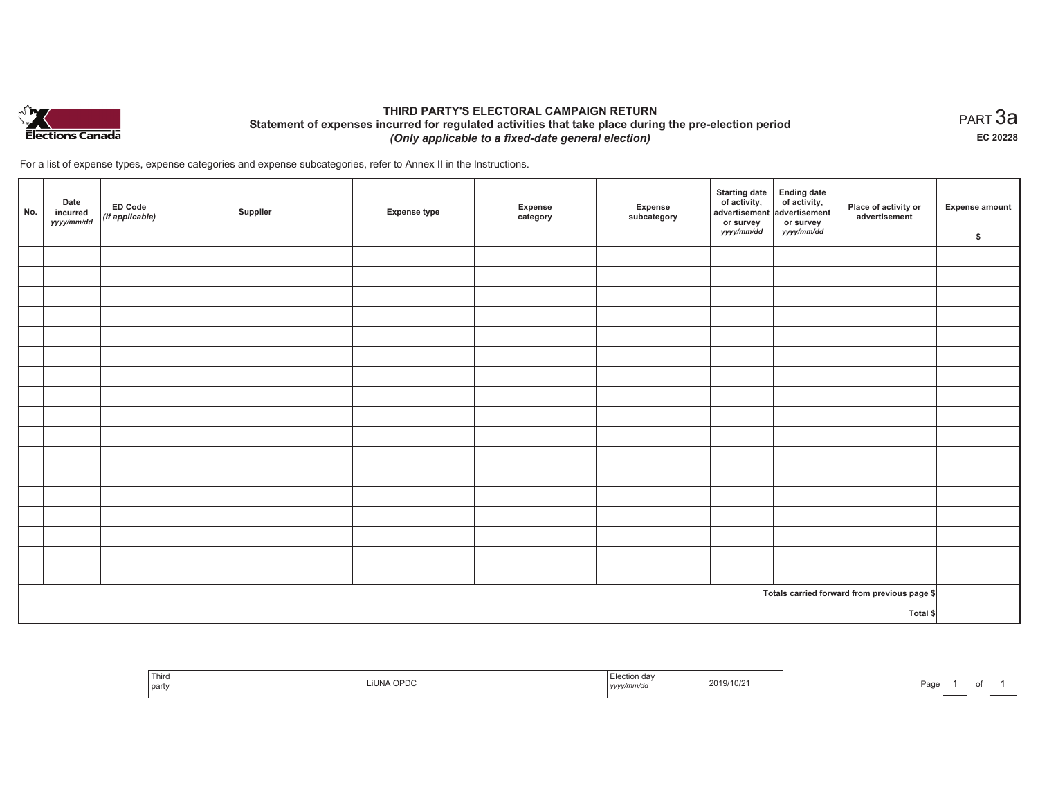

## **THIRD PARTY'S ELECTORAL CAMPAIGN RETURN Statement of expenses incurred for regulated activities that take place during the pre-election period**  *(Only applicable to a fixed-date general election)*

For a list of expense types, expense categories and expense subcategories, refer to Annex II in the Instructions.

| No. | Date<br>incurred<br>yyyy/mm/dd | <b>ED Code</b><br>$\left $ (if applicable) | Supplier | <b>Expense type</b> | Expense<br>category | Expense<br>subcategory | <b>Starting date</b><br>of activity,<br>advertisement<br>or survey<br>yyyy/mm/dd | Ending date<br>of activity,<br>advertisement<br>or survey<br>yyyy/mm/dd | Place of activity or<br>advertisement        | <b>Expense amount</b><br>\$ |
|-----|--------------------------------|--------------------------------------------|----------|---------------------|---------------------|------------------------|----------------------------------------------------------------------------------|-------------------------------------------------------------------------|----------------------------------------------|-----------------------------|
|     |                                |                                            |          |                     |                     |                        |                                                                                  |                                                                         |                                              |                             |
|     |                                |                                            |          |                     |                     |                        |                                                                                  |                                                                         |                                              |                             |
|     |                                |                                            |          |                     |                     |                        |                                                                                  |                                                                         |                                              |                             |
|     |                                |                                            |          |                     |                     |                        |                                                                                  |                                                                         |                                              |                             |
|     |                                |                                            |          |                     |                     |                        |                                                                                  |                                                                         |                                              |                             |
|     |                                |                                            |          |                     |                     |                        |                                                                                  |                                                                         |                                              |                             |
|     |                                |                                            |          |                     |                     |                        |                                                                                  |                                                                         |                                              |                             |
|     |                                |                                            |          |                     |                     |                        |                                                                                  |                                                                         |                                              |                             |
|     |                                |                                            |          |                     |                     |                        |                                                                                  |                                                                         |                                              |                             |
|     |                                |                                            |          |                     |                     |                        |                                                                                  |                                                                         |                                              |                             |
|     |                                |                                            |          |                     |                     |                        |                                                                                  |                                                                         |                                              |                             |
|     |                                |                                            |          |                     |                     |                        |                                                                                  |                                                                         |                                              |                             |
|     |                                |                                            |          |                     |                     |                        |                                                                                  |                                                                         |                                              |                             |
|     |                                |                                            |          |                     |                     |                        |                                                                                  |                                                                         |                                              |                             |
|     |                                |                                            |          |                     |                     |                        |                                                                                  |                                                                         |                                              |                             |
|     |                                |                                            |          |                     |                     |                        |                                                                                  |                                                                         |                                              |                             |
|     |                                |                                            |          |                     |                     |                        |                                                                                  |                                                                         |                                              |                             |
|     |                                |                                            |          |                     |                     |                        |                                                                                  |                                                                         | Totals carried forward from previous page \$ |                             |
|     | Total \$                       |                                            |          |                     |                     |                        |                                                                                  |                                                                         |                                              |                             |

| $-1$<br>Third<br>  party | <b>IUNA OPDO</b> | ı dav<br>.<br>וחותו<br>  ソソソ」 | 2019/10/2 | Door<br>-au |  |  |  |
|--------------------------|------------------|-------------------------------|-----------|-------------|--|--|--|
|--------------------------|------------------|-------------------------------|-----------|-------------|--|--|--|

 $_{\sf PART}$ 3a **EC 20228**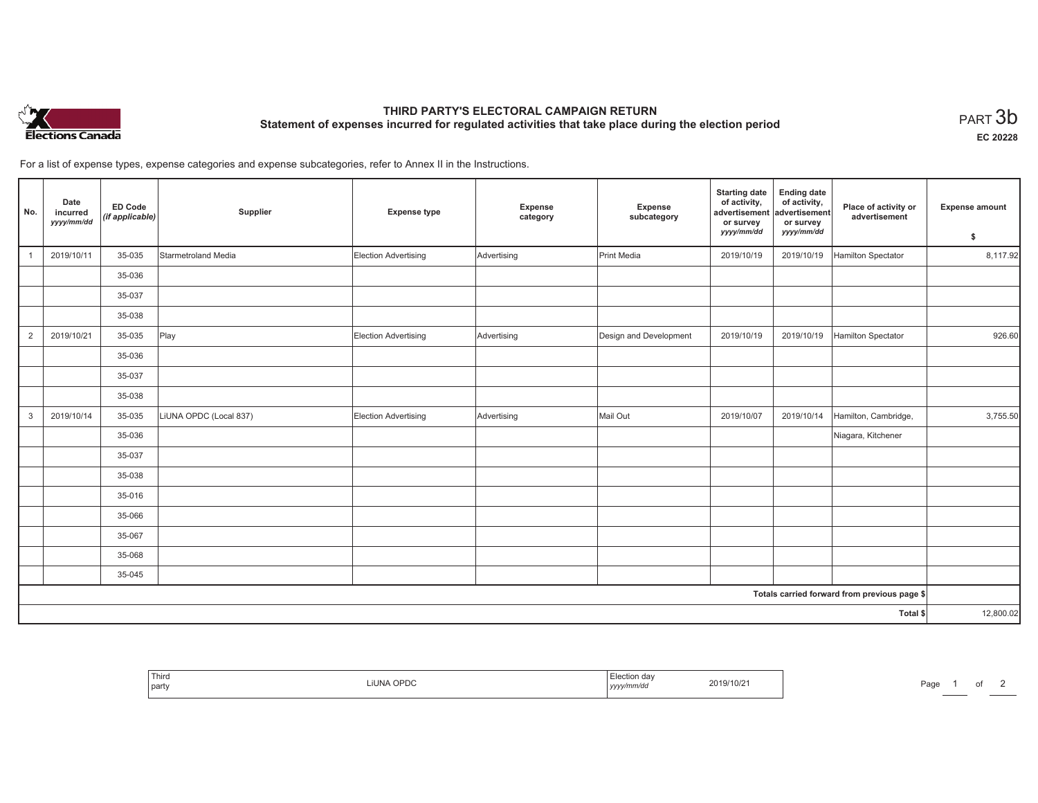

# **THIRD PARTY'S ELECTORAL CAMPAIGN RETURN Statement of expenses incurred for regulated activities that take place during the election period**<br>PART  $3\mathsf{b}$

**EC 20228**

For a list of expense types, expense categories and expense subcategories, refer to Annex II in the Instructions.

| No.          | Date<br>incurred<br>yyyy/mm/dd | ED Code<br>(if applicable) | Supplier               | <b>Expense type</b>         | Expense<br>category | <b>Expense</b><br>subcategory | <b>Starting date</b><br>of activity,<br>advertisement<br>or survey<br>yyyy/mm/dd | <b>Ending date</b><br>of activity,<br>advertisement<br>or survey<br>yyyy/mm/dd | Place of activity or<br>advertisement        | <b>Expense amount</b><br>\$ |
|--------------|--------------------------------|----------------------------|------------------------|-----------------------------|---------------------|-------------------------------|----------------------------------------------------------------------------------|--------------------------------------------------------------------------------|----------------------------------------------|-----------------------------|
|              | 2019/10/11                     | 35-035                     | Starmetroland Media    | Election Advertising        | Advertising         | Print Media                   | 2019/10/19                                                                       | 2019/10/19                                                                     | Hamilton Spectator                           | 8,117.92                    |
|              |                                | 35-036                     |                        |                             |                     |                               |                                                                                  |                                                                                |                                              |                             |
|              |                                | 35-037                     |                        |                             |                     |                               |                                                                                  |                                                                                |                                              |                             |
|              |                                | 35-038                     |                        |                             |                     |                               |                                                                                  |                                                                                |                                              |                             |
| 2            | 2019/10/21                     | 35-035                     | Play                   | <b>Election Advertising</b> | Advertising         | Design and Development        | 2019/10/19                                                                       | 2019/10/19                                                                     | Hamilton Spectator                           | 926.60                      |
|              |                                | 35-036                     |                        |                             |                     |                               |                                                                                  |                                                                                |                                              |                             |
|              |                                | 35-037                     |                        |                             |                     |                               |                                                                                  |                                                                                |                                              |                             |
|              |                                | 35-038                     |                        |                             |                     |                               |                                                                                  |                                                                                |                                              |                             |
| $\mathbf{3}$ | 2019/10/14                     | 35-035                     | LiUNA OPDC (Local 837) | Election Advertising        | Advertising         | Mail Out                      | 2019/10/07                                                                       | 2019/10/14                                                                     | Hamilton, Cambridge,                         | 3,755.50                    |
|              |                                | 35-036                     |                        |                             |                     |                               |                                                                                  |                                                                                | Niagara, Kitchener                           |                             |
|              |                                | 35-037                     |                        |                             |                     |                               |                                                                                  |                                                                                |                                              |                             |
|              |                                | 35-038                     |                        |                             |                     |                               |                                                                                  |                                                                                |                                              |                             |
|              |                                | 35-016                     |                        |                             |                     |                               |                                                                                  |                                                                                |                                              |                             |
|              |                                | 35-066                     |                        |                             |                     |                               |                                                                                  |                                                                                |                                              |                             |
|              |                                | 35-067                     |                        |                             |                     |                               |                                                                                  |                                                                                |                                              |                             |
|              |                                | 35-068                     |                        |                             |                     |                               |                                                                                  |                                                                                |                                              |                             |
|              |                                | 35-045                     |                        |                             |                     |                               |                                                                                  |                                                                                |                                              |                             |
|              |                                |                            |                        |                             |                     |                               |                                                                                  |                                                                                | Totals carried forward from previous page \$ |                             |
|              |                                |                            |                        |                             |                     |                               |                                                                                  |                                                                                | Total \$                                     | 12,800.02                   |

| .lectior<br>da<br>019/10/2<br>$-11.18 +$<br>$\cap$<br>$\overline{\phantom{a}}$<br><i>v/mm/du</i><br>,,,,, |  |
|-----------------------------------------------------------------------------------------------------------|--|
|-----------------------------------------------------------------------------------------------------------|--|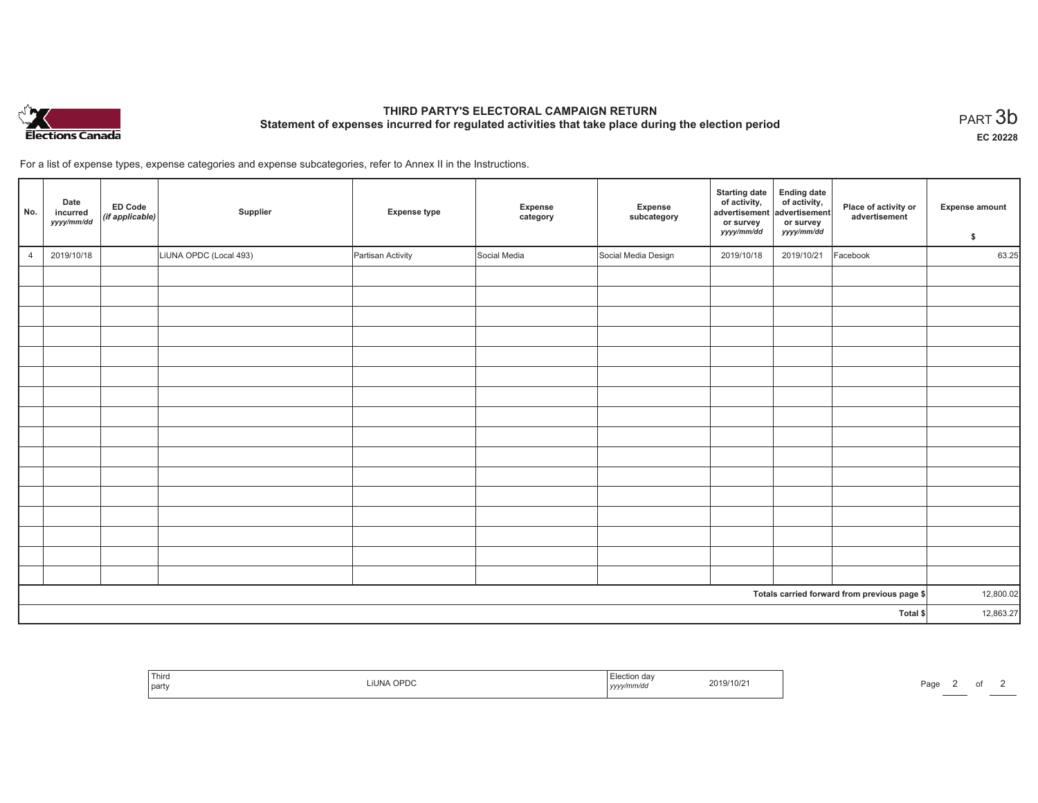

# **THIRD PARTY'S ELECTORAL CAMPAIGN RETURN Statement of expenses incurred for regulated activities that take place during the election period**<br>PART  $3\mathsf{b}$

**EC 20228**

Page 2 of 2

For a list of expense types, expense categories and expense subcategories, refer to Annex II in the Instructions.

| No.            | Date<br>incurred<br>yyyy/mm/dd | <b>ED Code</b><br>$\left \left(\textit{if applicable}\right)\right $ | Supplier               | <b>Expense type</b> | Expense<br>category | Expense<br>subcategory | <b>Starting date</b><br>of activity,<br>advertisement<br>or survey<br>yyyy/mm/dd | Ending date<br>  of activity,<br>advertisement<br>or survey<br>yyyy/mm/dd | Place of activity or<br>advertisement        | <b>Expense amount</b><br>\$ |
|----------------|--------------------------------|----------------------------------------------------------------------|------------------------|---------------------|---------------------|------------------------|----------------------------------------------------------------------------------|---------------------------------------------------------------------------|----------------------------------------------|-----------------------------|
| $\overline{4}$ | 2019/10/18                     |                                                                      | LiUNA OPDC (Local 493) | Partisan Activity   | Social Media        | Social Media Design    | 2019/10/18                                                                       | 2019/10/21                                                                | Facebook                                     | 63.25                       |
|                |                                |                                                                      |                        |                     |                     |                        |                                                                                  |                                                                           |                                              |                             |
|                |                                |                                                                      |                        |                     |                     |                        |                                                                                  |                                                                           |                                              |                             |
|                |                                |                                                                      |                        |                     |                     |                        |                                                                                  |                                                                           |                                              |                             |
|                |                                |                                                                      |                        |                     |                     |                        |                                                                                  |                                                                           |                                              |                             |
|                |                                |                                                                      |                        |                     |                     |                        |                                                                                  |                                                                           |                                              |                             |
|                |                                |                                                                      |                        |                     |                     |                        |                                                                                  |                                                                           |                                              |                             |
|                |                                |                                                                      |                        |                     |                     |                        |                                                                                  |                                                                           |                                              |                             |
|                |                                |                                                                      |                        |                     |                     |                        |                                                                                  |                                                                           |                                              |                             |
|                |                                |                                                                      |                        |                     |                     |                        |                                                                                  |                                                                           |                                              |                             |
|                |                                |                                                                      |                        |                     |                     |                        |                                                                                  |                                                                           |                                              |                             |
|                |                                |                                                                      |                        |                     |                     |                        |                                                                                  |                                                                           |                                              |                             |
|                |                                |                                                                      |                        |                     |                     |                        |                                                                                  |                                                                           |                                              |                             |
|                |                                |                                                                      |                        |                     |                     |                        |                                                                                  |                                                                           |                                              |                             |
|                |                                |                                                                      |                        |                     |                     |                        |                                                                                  |                                                                           |                                              |                             |
|                |                                |                                                                      |                        |                     |                     |                        |                                                                                  |                                                                           |                                              |                             |
|                |                                |                                                                      |                        |                     |                     |                        |                                                                                  |                                                                           |                                              |                             |
|                |                                |                                                                      |                        |                     |                     |                        |                                                                                  |                                                                           | Totals carried forward from previous page \$ | 12,800.02                   |
|                |                                |                                                                      |                        |                     |                     |                        |                                                                                  |                                                                           | Total \$                                     | 12,863.27                   |

| Election<br>udv<br>2019/10/2<br>$\overline{\phantom{a}}$<br>^nne<br>— I JI<br>y/mmvuc<br>  УУУУ | Third<br>party |  |
|-------------------------------------------------------------------------------------------------|----------------|--|
|-------------------------------------------------------------------------------------------------|----------------|--|